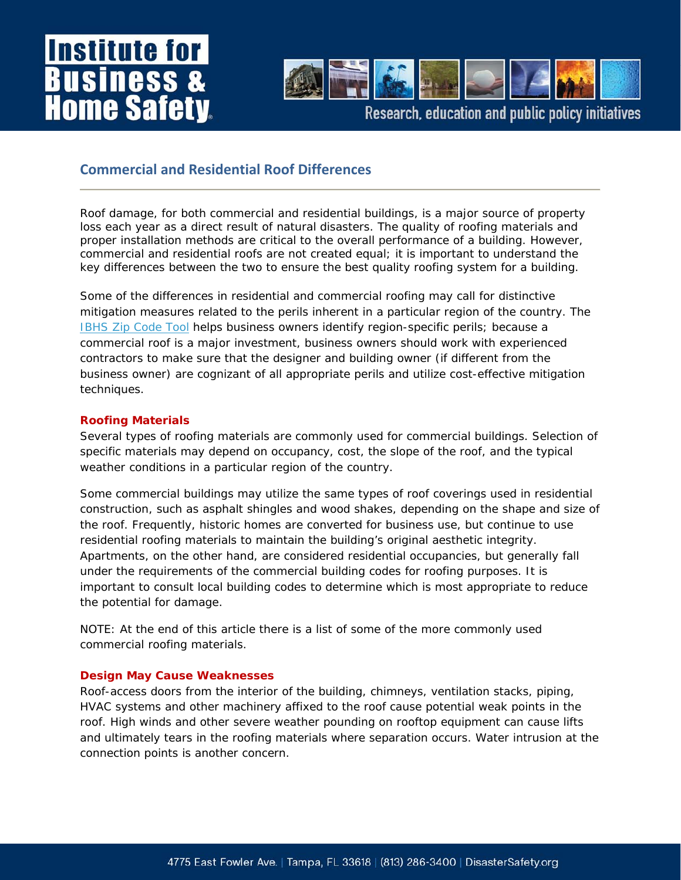## **Institute for usiness ome Safet**



Research, education and public policy initiatives

### **Commercial and Residential Roof Differences**

Roof damage, for both commercial and residential buildings, is a major source of property loss each year as a direct result of natural disasters. The quality of roofing materials and proper installation methods are critical to the overall performance of a building. However, commercial and residential roofs are not created equal; it is important to understand the key differences between the two to ensure the best quality roofing system for a building.

*Some of the differences in residential and commercial roofing may call for distinctive mitigation measures related to the perils inherent in a particular region of the country. The IBHS Zip Code Tool helps business owners identify region-specific perils; because a commercial roof is a major investment, business owners should work with experienced contractors to make sure that the designer and building owner (if different from the business owner) are cognizant of all appropriate perils and utilize cost-effective mitigation techniques.*

#### **Roofing Materials**

Several types of roofing materials are commonly used for commercial buildings. Selection of specific materials may depend on occupancy, cost, the slope of the roof, and the typical weather conditions in a particular region of the country.

Some commercial buildings may utilize the same types of roof coverings used in residential construction, such as asphalt shingles and wood shakes, depending on the shape and size of the roof. Frequently, historic homes are converted for business use, but continue to use residential roofing materials to maintain the building's original aesthetic integrity. Apartments, on the other hand, are considered residential occupancies, but generally fall under the requirements of the commercial building codes for roofing purposes. It is important to consult local building codes to determine which is most appropriate to reduce the potential for damage.

*NOTE: At the end of this article there is a list of some of the more commonly used commercial roofing materials.*

#### **Design May Cause Weaknesses**

Roof-access doors from the interior of the building, chimneys, ventilation stacks, piping, HVAC systems and other machinery affixed to the roof cause potential weak points in the roof. High winds and other severe weather pounding on rooftop equipment can cause lifts and ultimately tears in the roofing materials where separation occurs. Water intrusion at the connection points is another concern.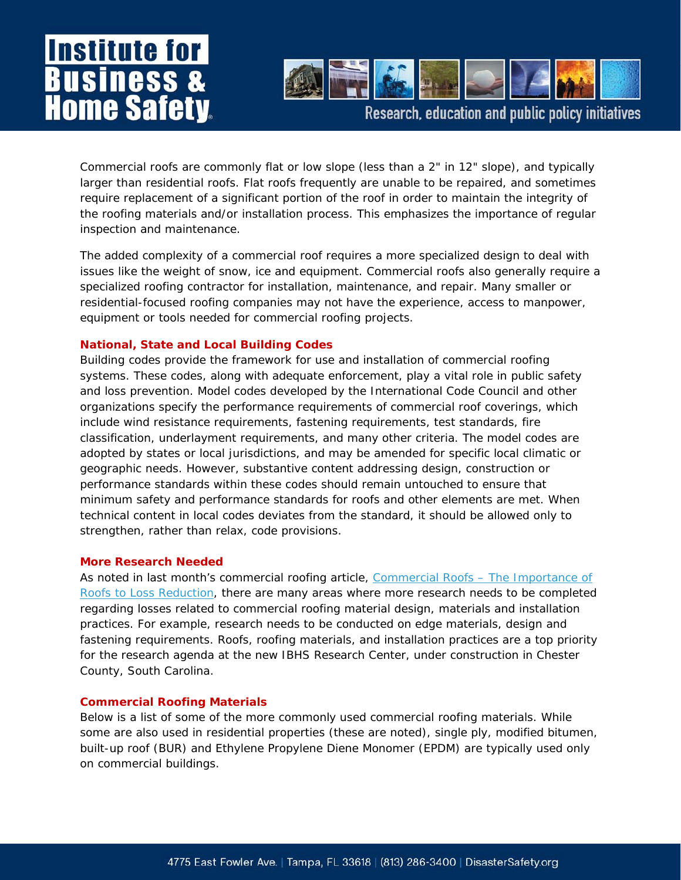## **Institute for Business & Home Safety**



Research, education and public policy initiatives

Commercial roofs are commonly flat or low slope (less than a 2" in 12" slope), and typically larger than residential roofs. Flat roofs frequently are unable to be repaired, and sometimes require replacement of a significant portion of the roof in order to maintain the integrity of the roofing materials and/or installation process. This emphasizes the importance of regular inspection and maintenance.

The added complexity of a commercial roof requires a more specialized design to deal with issues like the weight of snow, ice and equipment. Commercial roofs also generally require a specialized roofing contractor for installation, maintenance, and repair. Many smaller or residential-focused roofing companies may not have the experience, access to manpower, equipment or tools needed for commercial roofing projects.

#### **National, State and Local Building Codes**

Building codes provide the framework for use and installation of commercial roofing systems. These codes, along with adequate enforcement, play a vital role in public safety and loss prevention. Model codes developed by the International Code Council and other organizations specify the performance requirements of commercial roof coverings, which include wind resistance requirements, fastening requirements, test standards, fire classification, underlayment requirements, and many other criteria. The model codes are adopted by states or local jurisdictions, and may be amended for specific local climatic or geographic needs. However, substantive content addressing design, construction or performance standards within these codes should remain untouched to ensure that minimum safety and performance standards for roofs and other elements are met. When technical content in local codes deviates from the standard, it should be allowed only to strengthen, rather than relax, code provisions.

#### **More Research Needed**

As noted in last month's commercial roofing article, [Commercial Roofs – The Importance of](http://www.disastersafety.org/text.asp?id=comm_roofs)  [Roofs to Loss Reduction](http://www.disastersafety.org/text.asp?id=comm_roofs), there are many areas where more research needs to be completed regarding losses related to commercial roofing material design, materials and installation practices. For example, research needs to be conducted on edge materials, design and fastening requirements. Roofs, roofing materials, and installation practices are a top priority for the research agenda at the new IBHS Research Center, under construction in Chester County, South Carolina.

#### **Commercial Roofing Materials**

Below is a list of some of the more commonly used commercial roofing materials. While some are also used in residential properties (these are noted), single ply, modified bitumen, built-up roof (BUR) and Ethylene Propylene Diene Monomer (EPDM) are typically used only on commercial buildings.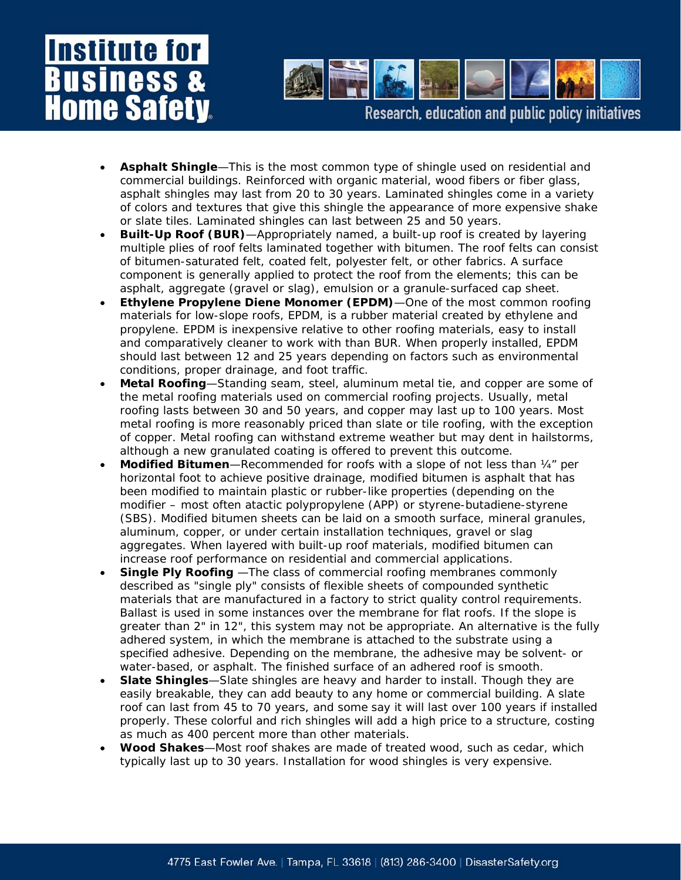## **Institute for** usiness ome Safet



Research, education and public policy initiatives

- **Asphalt Shingle**—This is the most common type of shingle used on residential and commercial buildings. Reinforced with organic material, wood fibers or fiber glass, asphalt shingles may last from 20 to 30 years. Laminated shingles come in a variety of colors and textures that give this shingle the appearance of more expensive shake or slate tiles. Laminated shingles can last between 25 and 50 years.
- **Built-Up Roof (BUR)**—Appropriately named, a built-up roof is created by layering multiple plies of roof felts laminated together with bitumen. The roof felts can consist of bitumen-saturated felt, coated felt, polyester felt, or other fabrics. A surface component is generally applied to protect the roof from the elements; this can be asphalt, aggregate (gravel or slag), emulsion or a granule-surfaced cap sheet.
- **Ethylene Propylene Diene Monomer (EPDM)**—One of the most common roofing materials for low-slope roofs, EPDM, is a rubber material created by ethylene and propylene. EPDM is inexpensive relative to other roofing materials, easy to install and comparatively cleaner to work with than BUR. When properly installed, EPDM should last between 12 and 25 years depending on factors such as environmental conditions, proper drainage, and foot traffic.
- **Metal Roofing**—Standing seam, steel, aluminum metal tie, and copper are some of the metal roofing materials used on commercial roofing projects. Usually, metal roofing lasts between 30 and 50 years, and copper may last up to 100 years. Most metal roofing is more reasonably priced than slate or tile roofing, with the exception of copper. Metal roofing can withstand extreme weather but may dent in hailstorms, although a new granulated coating is offered to prevent this outcome.
- **Modified Bitumen**—Recommended for roofs with a slope of not less than ¼" per horizontal foot to achieve positive drainage, modified bitumen is asphalt that has been modified to maintain plastic or rubber-like properties (depending on the modifier – most often atactic polypropylene (APP) or styrene-butadiene-styrene (SBS). Modified bitumen sheets can be laid on a smooth surface, mineral granules, aluminum, copper, or under certain installation techniques, gravel or slag aggregates. When layered with built-up roof materials, modified bitumen can increase roof performance on residential and commercial applications.
- **Single Ply Roofing** —The class of commercial roofing membranes commonly described as "single ply" consists of flexible sheets of compounded synthetic materials that are manufactured in a factory to strict quality control requirements. Ballast is used in some instances over the membrane for flat roofs. If the slope is greater than 2" in 12", this system may not be appropriate. An alternative is the fully adhered system, in which the membrane is attached to the substrate using a specified adhesive. Depending on the membrane, the adhesive may be solvent- or water-based, or asphalt. The finished surface of an adhered roof is smooth.
- **Slate Shingles**—Slate shingles are heavy and harder to install. Though they are easily breakable, they can add beauty to any home or commercial building. A slate roof can last from 45 to 70 years, and some say it will last over 100 years if installed properly. These colorful and rich shingles will add a high price to a structure, costing as much as 400 percent more than other materials.
- **Wood Shakes**—Most roof shakes are made of treated wood, such as cedar, which typically last up to 30 years. Installation for wood shingles is very expensive.